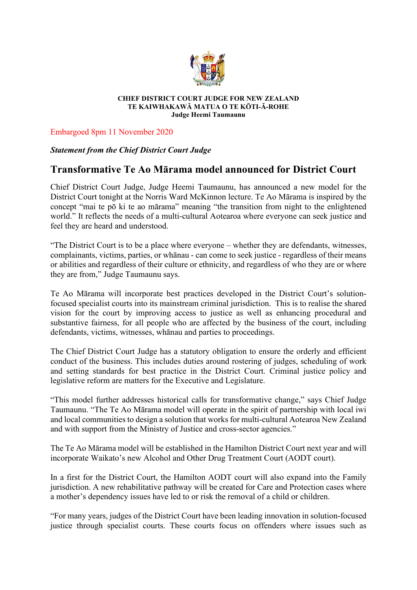

#### **CHIEF DISTRICT COURT JUDGE FOR NEW ZEALAND TE KAIWHAKAWĀ MATUA O TE KŌTI-Ā-ROHE Judge Heemi Taumaunu**

Embargoed 8pm 11 November 2020

## *Statement from the Chief District Court Judge*

# **Transformative Te Ao Mārama model announced for District Court**

Chief District Court Judge, Judge Heemi Taumaunu, has announced a new model for the District Court tonight at the Norris Ward McKinnon lecture. Te Ao Mārama is inspired by the concept "mai te pō ki te ao mārama" meaning "the transition from night to the enlightened world." It reflects the needs of a multi-cultural Aotearoa where everyone can seek justice and feel they are heard and understood.

"The District Court is to be a place where everyone – whether they are defendants, witnesses, complainants, victims, parties, or whānau - can come to seek justice - regardless of their means or abilities and regardless of their culture or ethnicity, and regardless of who they are or where they are from," Judge Taumaunu says.

Te Ao Mārama will incorporate best practices developed in the District Court's solutionfocused specialist courts into its mainstream criminal jurisdiction. This is to realise the shared vision for the court by improving access to justice as well as enhancing procedural and substantive fairness, for all people who are affected by the business of the court, including defendants, victims, witnesses, whānau and parties to proceedings.

The Chief District Court Judge has a statutory obligation to ensure the orderly and efficient conduct of the business. This includes duties around rostering of judges, scheduling of work and setting standards for best practice in the District Court. Criminal justice policy and legislative reform are matters for the Executive and Legislature.

"This model further addresses historical calls for transformative change," says Chief Judge Taumaunu. "The Te Ao Mārama model will operate in the spirit of partnership with local iwi and local communities to design a solution that works for multi-cultural Aotearoa New Zealand and with support from the Ministry of Justice and cross-sector agencies."

The Te Ao Mārama model will be established in the Hamilton District Court next year and will incorporate Waikato's new Alcohol and Other Drug Treatment Court (AODT court).

In a first for the District Court, the Hamilton AODT court will also expand into the Family jurisdiction. A new rehabilitative pathway will be created for Care and Protection cases where a mother's dependency issues have led to or risk the removal of a child or children.

"For many years, judges of the District Court have been leading innovation in solution-focused justice through specialist courts. These courts focus on offenders where issues such as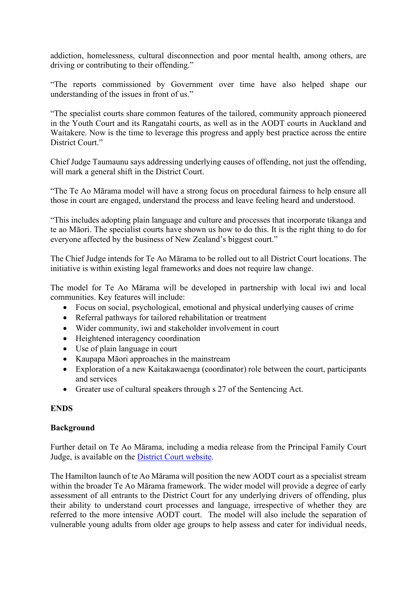addiction, homelessness, cultural disconnection and poor mental health, among others, are driving or contributing to their offending."

"The reports commissioned by Government over time have also helped shape our understanding of the issues in front of us."

"The specialist courts share common features of the tailored, community approach pioneered in the Youth Court and its Rangatahi courts, as well as in the AODT courts in Auckland and Waitakere. Now is the time to leverage this progress and apply best practice across the entire District Court."

Chief Judge Taumaunu says addressing underlying causes of offending, not just the offending, will mark a general shift in the District Court.

"The Te Ao Mārama model will have a strong focus on procedural fairness to help ensure all those in court are engaged, understand the process and leave feeling heard and understood.

"This includes adopting plain language and culture and processes that incorporate tikanga and te ao Māori. The specialist courts have shown us how to do this. It is the right thing to do for everyone affected by the business of New Zealand's biggest court."

The Chief Judge intends for Te Ao Mārama to be rolled out to all District Court locations. The initiative is within existing legal frameworks and does not require law change.

The model for Te Ao Mārama will be developed in partnership with local iwi and local communities. Key features will include:

- Focus on social, psychological, emotional and physical underlying causes of crime
- Referral pathways for tailored rehabilitation or treatment
- Wider community, iwi and stakeholder involvement in court
- Heightened interagency coordination
- Use of plain language in court
- Kaupapa Māori approaches in the mainstream
- Exploration of a new Kaitakawaenga (coordinator) role between the court, participants and services
- Greater use of cultural speakers through s 27 of the Sentencing Act.

## **ENDS**

### **Background**

Further detail on Te Ao Mārama, including a media release from the Principal Family Court Judge, is available on the [District Court](https://www.districtcourts.govt.nz/media-information/media-releases/) website.

The Hamilton launch of te Ao Mārama will position the new AODT court as a specialist stream within the broader Te Ao Mārama framework. The wider model will provide a degree of early assessment of all entrants to the District Court for any underlying drivers of offending, plus their ability to understand court processes and language, irrespective of whether they are referred to the more intensive AODT court. The model will also include the separation of vulnerable young adults from older age groups to help assess and cater for individual needs,